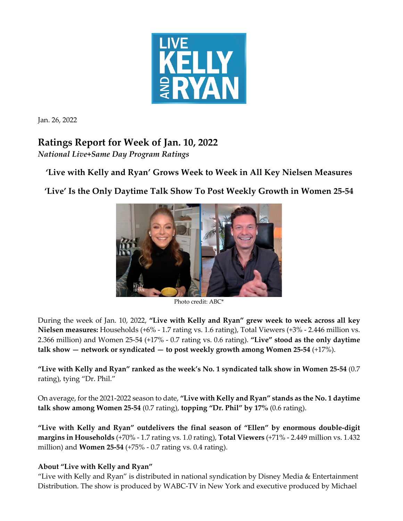

Jan. 26, 2022

## **Ratings Report for Week of Jan. 10, 2022**

*National Live+Same Day Program Ratings*

**'Live with Kelly and Ryan' Grows Week to Week in All Key Nielsen Measures**

**'Live' Is the Only Daytime Talk Show To Post Weekly Growth in Women 25-54**



Photo credit: ABC\*

During the week of Jan. 10, 2022, **"Live with Kelly and Ryan" grew week to week across all key Nielsen measures:** Households (+6% - 1.7 rating vs. 1.6 rating), Total Viewers (+3% - 2.446 million vs. 2.366 million) and Women 25-54 (+17% - 0.7 rating vs. 0.6 rating). **"Live" stood as the only daytime talk show — network or syndicated — to post weekly growth among Women 25-54** (+17%).

**"Live with Kelly and Ryan" ranked as the week's No. 1 syndicated talk show in Women 25-54** (0.7 rating), tying "Dr. Phil."

On average, forthe 2021-2022 season to date, **"Live with Kelly and Ryan" stands as the No. 1 daytime talk show among Women 25-54** (0.7 rating), **topping "Dr. Phil" by 17%** (0.6 rating).

**"Live with Kelly and Ryan" outdelivers the final season of "Ellen" by enormous double-digit margins in Households** (+70% - 1.7 rating vs. 1.0 rating), **Total Viewers** (+71% - 2.449 million vs. 1.432 million) and **Women 25-54** (+75% - 0.7 rating vs. 0.4 rating).

## **About "Live with Kelly and Ryan"**

"Live with Kelly and Ryan" is distributed in national syndication by Disney Media & Entertainment Distribution. The show is produced by WABC-TV in New York and executive produced by Michael